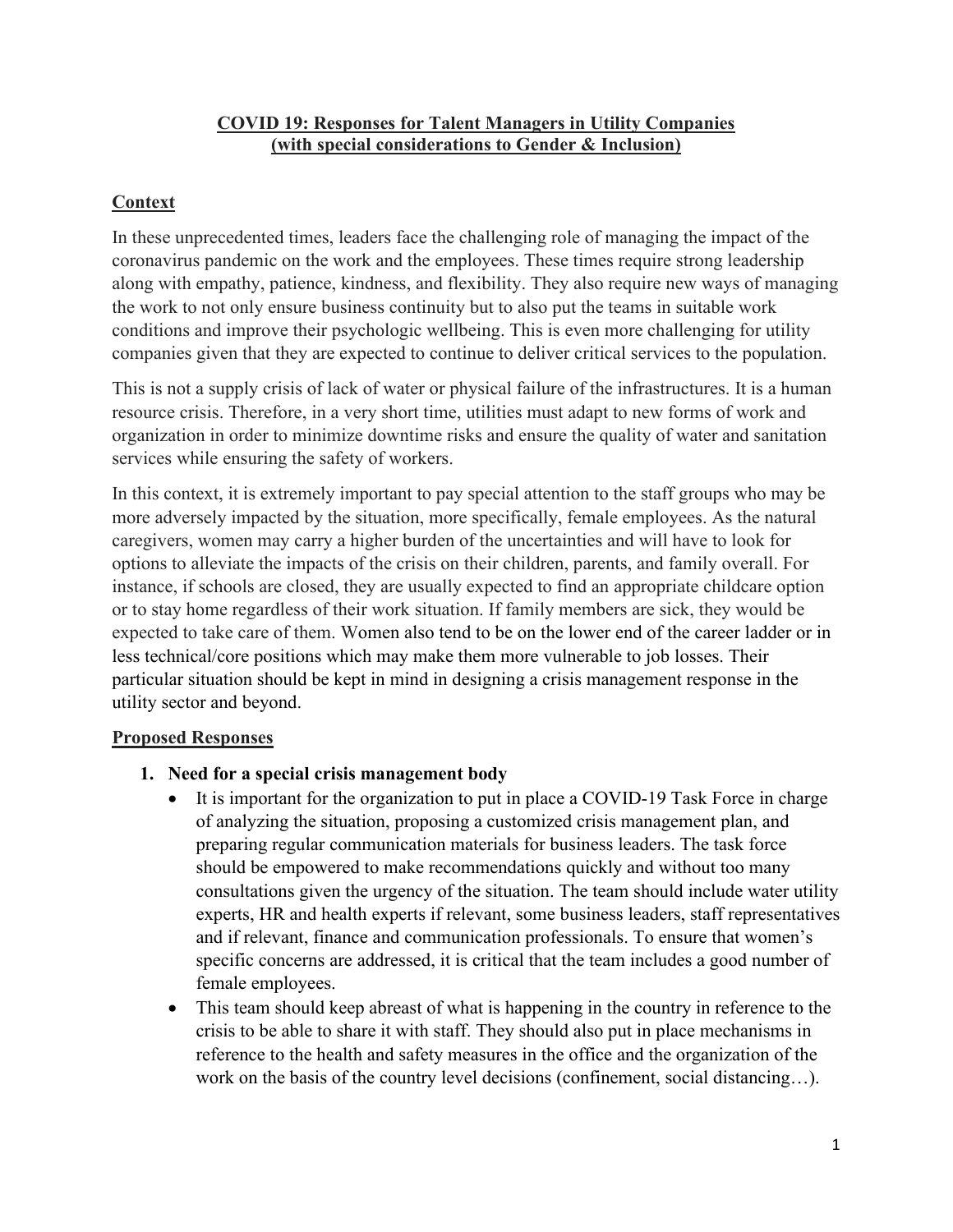### **COVID 19: Responses for Talent Managers in Utility Companies (with special considerations to Gender & Inclusion)**

# **Context**

In these unprecedented times, leaders face the challenging role of managing the impact of the coronavirus pandemic on the work and the employees. These times require strong leadership along with empathy, patience, kindness, and flexibility. They also require new ways of managing the work to not only ensure business continuity but to also put the teams in suitable work conditions and improve their psychologic wellbeing. This is even more challenging for utility companies given that they are expected to continue to deliver critical services to the population.

This is not a supply crisis of lack of water or physical failure of the infrastructures. It is a human resource crisis. Therefore, in a very short time, utilities must adapt to new forms of work and organization in order to minimize downtime risks and ensure the quality of water and sanitation services while ensuring the safety of workers.

In this context, it is extremely important to pay special attention to the staff groups who may be more adversely impacted by the situation, more specifically, female employees. As the natural caregivers, women may carry a higher burden of the uncertainties and will have to look for options to alleviate the impacts of the crisis on their children, parents, and family overall. For instance, if schools are closed, they are usually expected to find an appropriate childcare option or to stay home regardless of their work situation. If family members are sick, they would be expected to take care of them. Women also tend to be on the lower end of the career ladder or in less technical/core positions which may make them more vulnerable to job losses. Their particular situation should be kept in mind in designing a crisis management response in the utility sector and beyond.

### **Proposed Responses**

- **1. Need for a special crisis management body**
	- It is important for the organization to put in place a COVID-19 Task Force in charge of analyzing the situation, proposing a customized crisis management plan, and preparing regular communication materials for business leaders. The task force should be empowered to make recommendations quickly and without too many consultations given the urgency of the situation. The team should include water utility experts, HR and health experts if relevant, some business leaders, staff representatives and if relevant, finance and communication professionals. To ensure that women's specific concerns are addressed, it is critical that the team includes a good number of female employees.
	- This team should keep abreast of what is happening in the country in reference to the crisis to be able to share it with staff. They should also put in place mechanisms in reference to the health and safety measures in the office and the organization of the work on the basis of the country level decisions (confinement, social distancing…).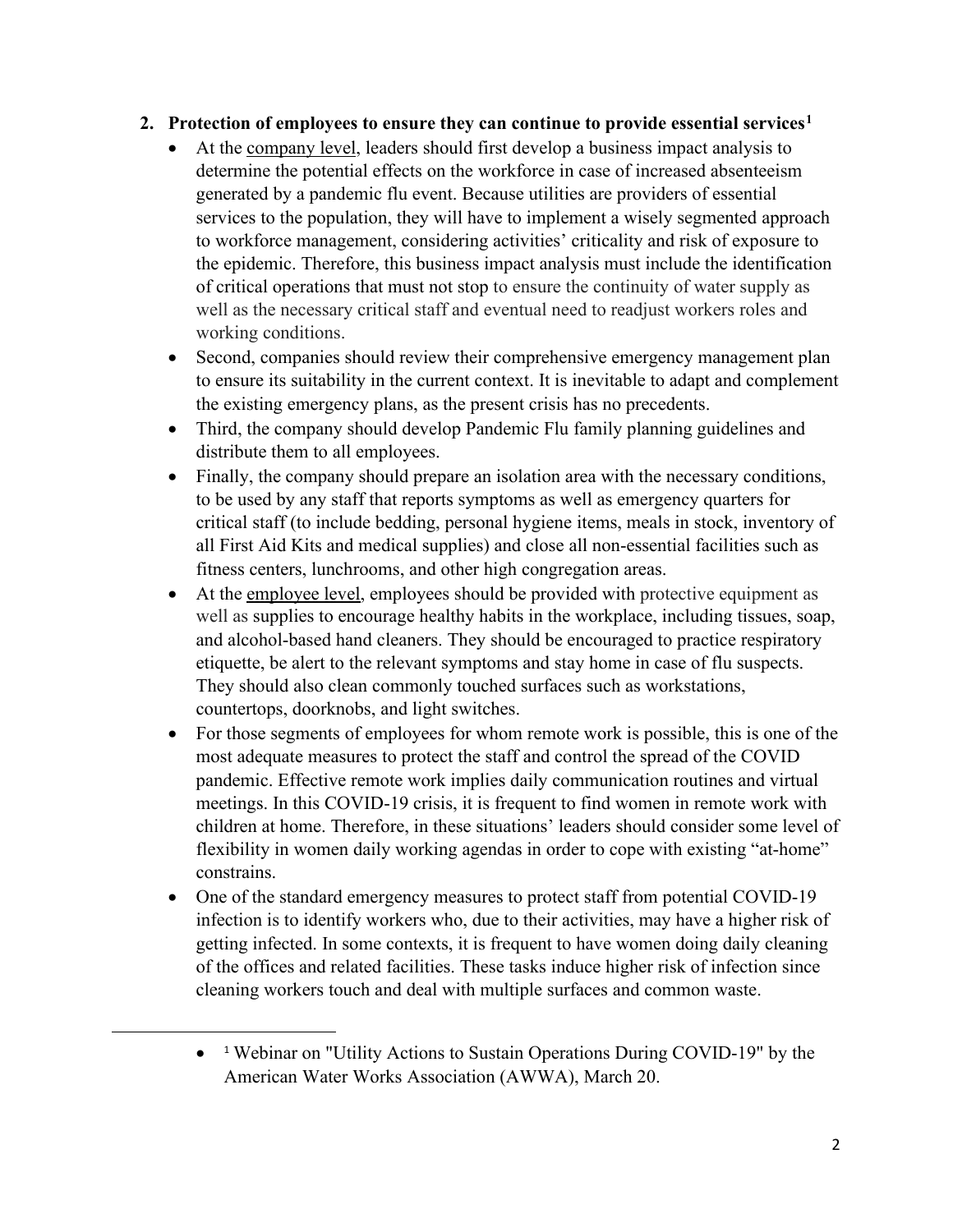### **2. Protection of employees to ensure they can continue to provide essential services[1](#page-1-0)**

- At the company level, leaders should first develop a business impact analysis to determine the potential effects on the workforce in case of increased absenteeism generated by a pandemic flu event. Because utilities are providers of essential services to the population, they will have to implement a wisely segmented approach to workforce management, considering activities' criticality and risk of exposure to the epidemic. Therefore, this business impact analysis must include the identification of critical operations that must not stop to ensure the continuity of water supply as well as the necessary critical staff and eventual need to readjust workers roles and working conditions.
- Second, companies should review their comprehensive emergency management plan to ensure its suitability in the current context. It is inevitable to adapt and complement the existing emergency plans, as the present crisis has no precedents.
- Third, the company should develop Pandemic Flu family planning guidelines and distribute them to all employees.
- Finally, the company should prepare an isolation area with the necessary conditions, to be used by any staff that reports symptoms as well as emergency quarters for critical staff (to include bedding, personal hygiene items, meals in stock, inventory of all First Aid Kits and medical supplies) and close all non-essential facilities such as fitness centers, lunchrooms, and other high congregation areas.
- At the employee level, employees should be provided with protective equipment as well as supplies to encourage healthy habits in the workplace, including tissues, soap, and alcohol-based hand cleaners. They should be encouraged to practice respiratory etiquette, be alert to the relevant symptoms and stay home in case of flu suspects. They should also clean commonly touched surfaces such as workstations, countertops, doorknobs, and light switches.
- For those segments of employees for whom remote work is possible, this is one of the most adequate measures to protect the staff and control the spread of the COVID pandemic. Effective remote work implies daily communication routines and virtual meetings. In this COVID-19 crisis, it is frequent to find women in remote work with children at home. Therefore, in these situations' leaders should consider some level of flexibility in women daily working agendas in order to cope with existing "at-home" constrains.
- One of the standard emergency measures to protect staff from potential COVID-19 infection is to identify workers who, due to their activities, may have a higher risk of getting infected. In some contexts, it is frequent to have women doing daily cleaning of the offices and related facilities. These tasks induce higher risk of infection since cleaning workers touch and deal with multiple surfaces and common waste.

<span id="page-1-0"></span><sup>• &</sup>lt;sup>1</sup> Webinar on "Utility Actions to Sustain Operations During COVID-19" by the American Water Works Association (AWWA), March 20.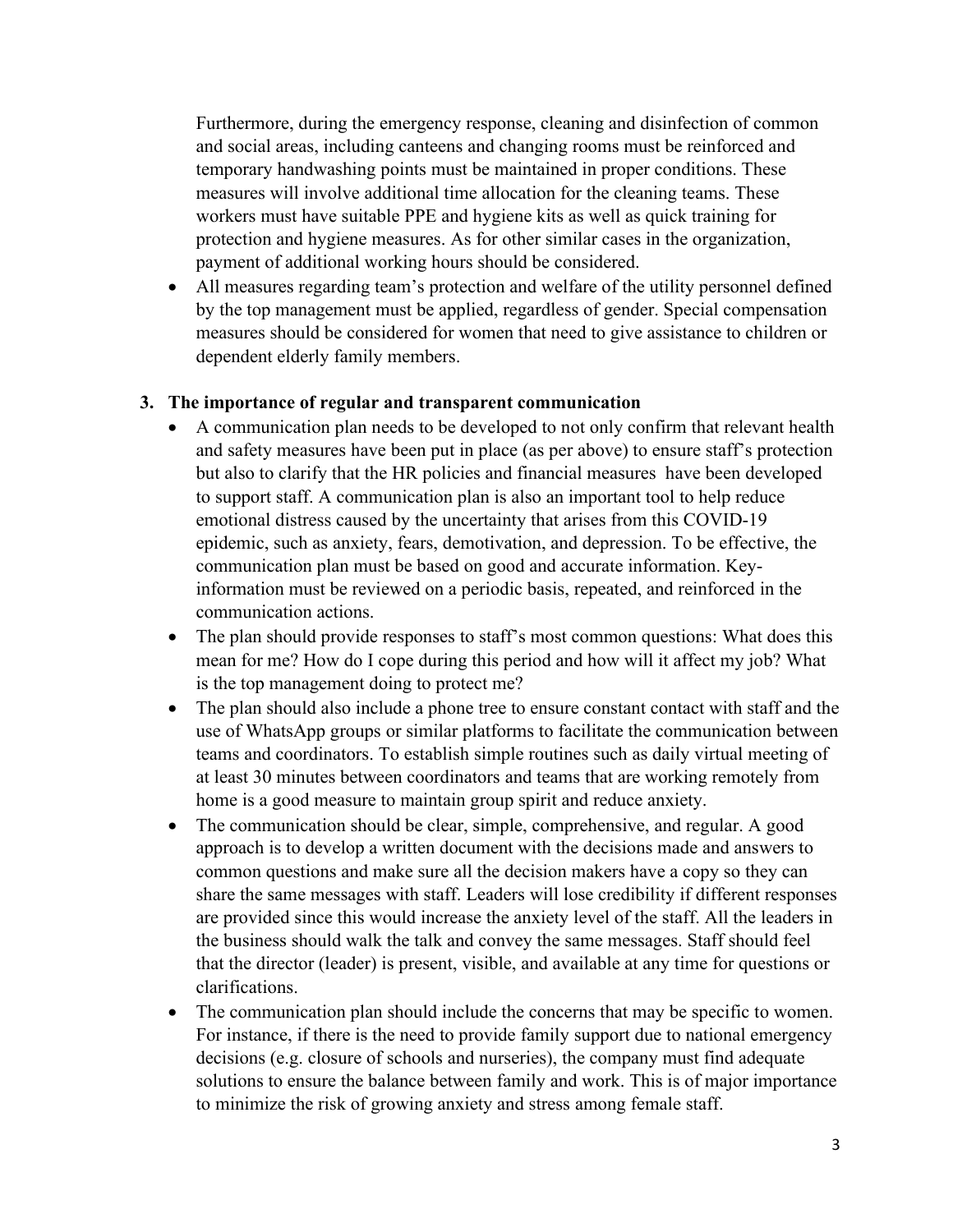Furthermore, during the emergency response, cleaning and disinfection of common and social areas, including canteens and changing rooms must be reinforced and temporary handwashing points must be maintained in proper conditions. These measures will involve additional time allocation for the cleaning teams. These workers must have suitable PPE and hygiene kits as well as quick training for protection and hygiene measures. As for other similar cases in the organization, payment of additional working hours should be considered.

• All measures regarding team's protection and welfare of the utility personnel defined by the top management must be applied, regardless of gender. Special compensation measures should be considered for women that need to give assistance to children or dependent elderly family members.

#### **3. The importance of regular and transparent communication**

- A communication plan needs to be developed to not only confirm that relevant health and safety measures have been put in place (as per above) to ensure staff's protection but also to clarify that the HR policies and financial measures have been developed to support staff. A communication plan is also an important tool to help reduce emotional distress caused by the uncertainty that arises from this COVID-19 epidemic, such as anxiety, fears, demotivation, and depression. To be effective, the communication plan must be based on good and accurate information. Keyinformation must be reviewed on a periodic basis, repeated, and reinforced in the communication actions.
- The plan should provide responses to staff's most common questions: What does this mean for me? How do I cope during this period and how will it affect my job? What is the top management doing to protect me?
- The plan should also include a phone tree to ensure constant contact with staff and the use of WhatsApp groups or similar platforms to facilitate the communication between teams and coordinators. To establish simple routines such as daily virtual meeting of at least 30 minutes between coordinators and teams that are working remotely from home is a good measure to maintain group spirit and reduce anxiety.
- The communication should be clear, simple, comprehensive, and regular. A good approach is to develop a written document with the decisions made and answers to common questions and make sure all the decision makers have a copy so they can share the same messages with staff. Leaders will lose credibility if different responses are provided since this would increase the anxiety level of the staff. All the leaders in the business should walk the talk and convey the same messages. Staff should feel that the director (leader) is present, visible, and available at any time for questions or clarifications.
- The communication plan should include the concerns that may be specific to women. For instance, if there is the need to provide family support due to national emergency decisions (e.g. closure of schools and nurseries), the company must find adequate solutions to ensure the balance between family and work. This is of major importance to minimize the risk of growing anxiety and stress among female staff.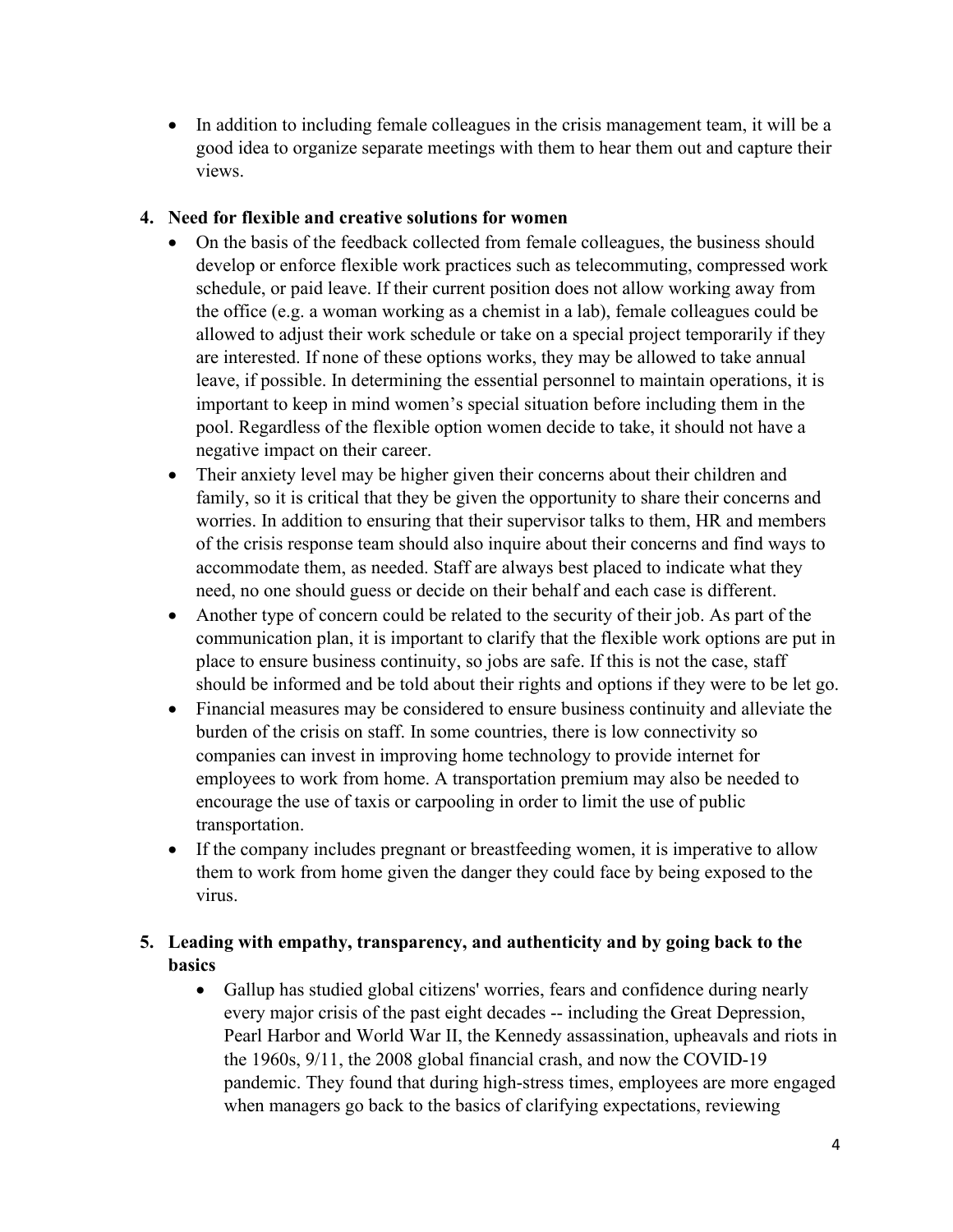• In addition to including female colleagues in the crisis management team, it will be a good idea to organize separate meetings with them to hear them out and capture their views.

#### **4. Need for flexible and creative solutions for women**

- On the basis of the feedback collected from female colleagues, the business should develop or enforce flexible work practices such as telecommuting, compressed work schedule, or paid leave. If their current position does not allow working away from the office (e.g. a woman working as a chemist in a lab), female colleagues could be allowed to adjust their work schedule or take on a special project temporarily if they are interested. If none of these options works, they may be allowed to take annual leave, if possible. In determining the essential personnel to maintain operations, it is important to keep in mind women's special situation before including them in the pool. Regardless of the flexible option women decide to take, it should not have a negative impact on their career.
- Their anxiety level may be higher given their concerns about their children and family, so it is critical that they be given the opportunity to share their concerns and worries. In addition to ensuring that their supervisor talks to them, HR and members of the crisis response team should also inquire about their concerns and find ways to accommodate them, as needed. Staff are always best placed to indicate what they need, no one should guess or decide on their behalf and each case is different.
- Another type of concern could be related to the security of their job. As part of the communication plan, it is important to clarify that the flexible work options are put in place to ensure business continuity, so jobs are safe. If this is not the case, staff should be informed and be told about their rights and options if they were to be let go.
- Financial measures may be considered to ensure business continuity and alleviate the burden of the crisis on staff. In some countries, there is low connectivity so companies can invest in improving home technology to provide internet for employees to work from home. A transportation premium may also be needed to encourage the use of taxis or carpooling in order to limit the use of public transportation.
- If the company includes pregnant or breastfeeding women, it is imperative to allow them to work from home given the danger they could face by being exposed to the virus.

# **5. Leading with empathy, transparency, and authenticity and by going back to the basics**

• Gallup has studied global citizens' worries, fears and confidence during nearly every major crisis of the past eight decades -- including the Great Depression, Pearl Harbor and World War II, the Kennedy assassination, upheavals and riots in the 1960s, 9/11, the 2008 global financial crash, and now the COVID-19 pandemic. They found that during high-stress times, employees are more engaged when managers go back to the basics of clarifying expectations, reviewing